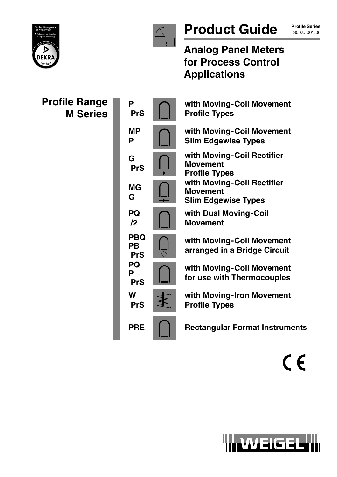



# Product Guide **Profile Series**

**Profile Series**

# **Analog Panel Meters for Process Control Applications**

| <b>Profile Range</b><br><b>M</b> Series | P<br><b>PrS</b>                       |                              | with Moving-Coil Movement<br><b>Profile Types</b>                           |
|-----------------------------------------|---------------------------------------|------------------------------|-----------------------------------------------------------------------------|
|                                         | <b>MP</b><br>P                        |                              | with Moving-Coil Movement<br><b>Slim Edgewise Types</b>                     |
|                                         | G<br><b>PrS</b>                       |                              | with Moving-Coil Rectifier<br><b>Movement</b><br><b>Profile Types</b>       |
|                                         | <b>MG</b><br>G                        |                              | with Moving-Coil Rectifier<br><b>Movement</b><br><b>Slim Edgewise Types</b> |
|                                         | <b>PQ</b><br>$\mathbf{12}$            |                              | with Dual Moving-Coil<br><b>Movement</b>                                    |
|                                         | <b>PBQ</b><br><b>PB</b><br><b>PrS</b> | $\overline{\Leftrightarrow}$ | with Moving-Coil Movement<br>arranged in a Bridge Circuit                   |
|                                         | <b>PQ</b><br>P<br><b>PrS</b>          |                              | with Moving-Coil Movement<br>for use with Thermocouples                     |
|                                         | W<br><b>PrS</b>                       |                              | with Moving-Iron Movement<br><b>Profile Types</b>                           |
|                                         | <b>PRE</b>                            |                              | <b>Rectangular Format Instruments</b>                                       |

 $C \in$ 

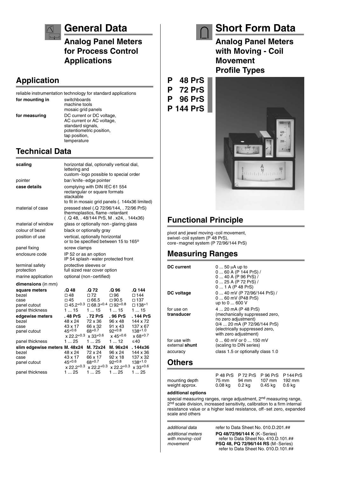

### **General Data**

**Analog Panel Meters for Process Control Applications**

### **Application**

|                 | reliable instrumentation technology for standard applications                                                                           |
|-----------------|-----------------------------------------------------------------------------------------------------------------------------------------|
| for mounting in | switchboards<br>machine tools<br>mosaic grid panels                                                                                     |
| for measuring   | DC current or DC voltage,<br>AC current or AC voltage,<br>standard signals,<br>potentiometric position.<br>tap position,<br>temperature |

### **Technical Data**

| scaling                                                           | horizontal dial, optionally vertical dial,<br>lettering and<br>custom-logo possible to special order                           |                                                                                                          |                                                             |                                                                      |
|-------------------------------------------------------------------|--------------------------------------------------------------------------------------------------------------------------------|----------------------------------------------------------------------------------------------------------|-------------------------------------------------------------|----------------------------------------------------------------------|
| pointer                                                           | bar/knife-edge pointer                                                                                                         |                                                                                                          |                                                             |                                                                      |
| case details                                                      | complying with DIN IEC 61 554<br>rectangular or square formats<br>stackable<br>to fit in mosaic grid panels (. 144x36 limited) |                                                                                                          |                                                             |                                                                      |
| material of case                                                  | pressed steel (.Q 72/96/144, . 72/96 PrS)<br>thermoplastics, flame-retardant<br>(.Q 48, .48/144 PrS, M . x24, .144x36)         |                                                                                                          |                                                             |                                                                      |
| material of window                                                |                                                                                                                                |                                                                                                          | glass or optionally non-glaring glass                       |                                                                      |
| colour of bezel                                                   |                                                                                                                                | black or optionally gray                                                                                 |                                                             |                                                                      |
| position of use                                                   | vertical, optionally horizontal<br>or to be specified between 15 to 165°                                                       |                                                                                                          |                                                             |                                                                      |
| panel fixing                                                      | screw clamps                                                                                                                   |                                                                                                          |                                                             |                                                                      |
| enclosure code                                                    | IP 52 or as an option<br>IP 54 splash - water protected front                                                                  |                                                                                                          |                                                             |                                                                      |
| terminal safety<br>protection                                     | protective sleeves or<br>full sized rear cover option                                                                          |                                                                                                          |                                                             |                                                                      |
| marine application                                                | optional (non-certified)                                                                                                       |                                                                                                          |                                                             |                                                                      |
| dimensions (in mm)                                                |                                                                                                                                |                                                                                                          |                                                             |                                                                      |
| square meters<br>bezel<br>case<br>panel cutout<br>panel thickness | .Q 48<br>□ 48<br>□ 45<br>115                                                                                                   | .Q 72<br>$\square$ 72<br>$\Box$ 66.5<br>$\Box$ 45.2 <sup>+0.3</sup> $\Box$ 68.3 <sup>+0.4</sup><br>1  15 | .Q 96<br>$\Box$ 96<br>$\Box$ 90.5<br>$\Box$ 92+0.8<br>1  15 | .Q 144<br>$\square$ 144<br>$\square$ 137<br>$\square$ 138+1<br>1  15 |
| edgewise meters                                                   | . 48 PrS                                                                                                                       | . 72 PrS                                                                                                 | . 96 PrS                                                    | . 144 PrS                                                            |
| bezel                                                             | 48 x 24                                                                                                                        | 72 x 36                                                                                                  | 96 x 48                                                     | 144 x 72                                                             |
| case<br>panel cutout                                              | 43 x 17<br>45+0.6<br>$x 22.2^{+0.3}$                                                                                           | 66 x 32<br>68+0.7<br>$x 33^{+0.6}$                                                                       | 91 x 43<br>92+0.8<br>x 45 <sup>+0.6</sup>                   | 137 x 67<br>138+1.0<br>$x 68^{+0.7}$                                 |
| panel thickness                                                   | 125                                                                                                                            | 1  25                                                                                                    | 112                                                         | ≤40                                                                  |
| slim edgewise meters M. 48x24                                     |                                                                                                                                | M. 72x24                                                                                                 | M. 96x24                                                    | . 144x36                                                             |
| bezel                                                             | 48 x 24                                                                                                                        | 72 x 24                                                                                                  | 96 x 24                                                     | 144 x 36                                                             |
| case                                                              | 43 x 17                                                                                                                        | 66 x 17                                                                                                  | 92 x 18                                                     | 137 x 32                                                             |
| panel cutout                                                      | 45+0.6<br>$x 22.2^{+0.3}$                                                                                                      | $68^{+0.7}$<br>$x 22.2^{+0.3}$                                                                           | 92+0.8<br>$x$ 22.2+0.3                                      | $138^{+1.0}$<br>$x 33+0.6$                                           |
| panel thickness                                                   | 125                                                                                                                            | 125                                                                                                      | 125                                                         | 1  25                                                                |

# **Short Form Data**

**Analog Panel Meters with Moving - Coil Movement Profile Types**





### **Functional Principle**

pivot and jewel moving-coil movement, swivel-coil system (P 48 PrS), core-magnet system (P 72/96/144 PrS)

### **Measuring Ranges**

| <b>DC</b> current              | 0  50 $\mu$ A up to<br>0  60 A (P 144 PrS) /<br>0  40 A (P 96 PrS) /<br>0  25 A (P 72 PrS) /<br>$01A$ (P 48 PrS)                                                        |
|--------------------------------|-------------------------------------------------------------------------------------------------------------------------------------------------------------------------|
| DC voltage                     | 0  40 mV (P 72/96/144 PrS) /<br>0  60 mV (P48 PrS)<br>up to 0  600 V                                                                                                    |
| for use on<br>transducer       | 4  20 mA (P 48 PrS)<br>(mechanically suppressed zero,<br>no zero adjustment)<br>0/4  20 mA (P 72/96/144 PrS)<br>(electrically suppressed zero,<br>with zero adjustment) |
| for use with<br>external shunt | $060$ mV or $0150$ mV<br>(scaling to DIN series)                                                                                                                        |
| accuracy                       | class 1.5 or optionally class 1.0                                                                                                                                       |
| ᄾᆘᄓᅌ                           |                                                                                                                                                                         |

#### **Others**

P 48 PrS P 72 PrS P 96 PrS P144PrS mounting depth 75 mm 94 mm 107 mm 192 m<br>weight approx. 0.08 kg 0.2 kg 0.45 kg 0.6 kg weight approx.

#### **additional options**

special measuring ranges, range adjustment, 2<sup>nd</sup> measuring range, 2<sup>nd</sup> scale division, increased sensitivity, calibration to a firm internal resistance value or a higher lead resistance, off-set zero, expanded scale and others

*additional data* refer to Data Sheet No. 010.D.201.## *additional meters* **PQ 48/72/96/144 K** (K-Series) *with moving-coil* refer to Data Sheet No. 410.D.101.##<br>movement **PSQ 48. PQ 72/96/144 RS** (M-Series) *movement* **PSQ 48, PQ 72/96/144 RS** (M-Series) refer to Data Sheet No. 010.D.101.##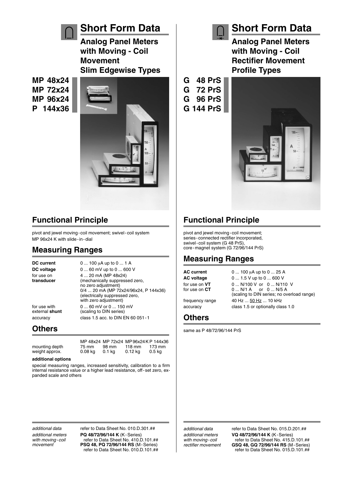

### **Short Form Data**

**Analog Panel Meters with Moving - Coil Movement Slim Edgewise Types**

**MP 48x24 MP 72x24 MP 96x24 P 144x36**



### **Functional Principle**

pivot and jewel moving-coil movement; swivel-coil system MP 96x24 K with slide-in-dial

### **Measuring Ranges**

**DC current** 0 ... 100 µA up to 0 ... 1 A **DC voltage** 0 ... 60 mV up to 0 ... 600 V for use on 4 ... 20 mA (MP 48x24) **transducer** (mechanically suppressed zero, no zero adjustment) 0/4 ... 20 mA (MP 72x24/96x24, P 144x36) (electrically suppressed zero, with zero adjustment) for use with  $0 \dots 60$  mV or  $0 \dots 150$  mV external **shunt** (scaling to DIN series) (scaling to DIN series) accuracy class 1.5 acc. to DIN EN 60 051-1

#### **Others**

MP 48x24 MP 72x24 MP 96x24 K P 144x36<br>75 mm 98 mm 118 mm 173 mm mounting depth 75 mm 98 mm 118 mm 173 mi<br>weight approx. 0.08 kg 0.1 kg 0.12 kg 0.5 kg weight approx. 0.08 kg 0.1 kg

#### **additional options**

special measuring ranges, increased sensitivity, calibration to a firm internal resistance value or a higher lead resistance, off-set zero, expanded scale and others

*additional data* refer to Data Sheet No. 010.D.301.## *additional meters* **PQ 48/72/96/144 K** (K-Series) *with moving-coil* refer to Data Sheet No. 410.D.101.##<br>movement **PSQ 48, PQ 72/96/144 RS** (M-Series) *movement* **PSQ 48, PQ 72/96/144 RS** (M-Series) refer to Data Sheet No. 010.D.101.##



# **Short Form Data**

**Analog Panel Meters with Moving - Coil Rectifier Movement Profile Types**

- **G 48 PrS G 72 PrS G 96 PrS**
- 





## **Functional Principle**

pivot and jewel moving-coil movement; series-connected rectifier incorporated, swivel-coil system (G 48 PrS), core-magnet system (G 72/96/144 PrS)

### **Measuring Ranges**

**AC current** 0 ... 100 µA up to 0 ... 25 A **AC voltage** 0 ... 1.5 V up to 0 ... 600 V for use on **VT** 0 ... N/100 V or 0 ... N/110 V for use on **CT** 0 ... N/1 A or 0 ... N/5 A (scaling to DIN series; no overload range) frequency range  $40$  Hz ...  $50$  Hz ... 10 kHz accuracy class 1.5 or optionally class 1.0

#### **Others**

same as P 48/72/96/144 PrS

*additional data* refer to Data Sheet No. 015.D.201.## *additional meters* **VQ 48/72/96/144 K** (K-Series) with moving-coil refer to Data Sheet No. 415.D.101.##<br>*rectifier movement* **GSQ 48, GQ 72/96/144 RS** (M-Series) *rectifier movement* **GSQ 48, GQ 72/96/144 RS** (M-Series) refer to Data Sheet No. 015.D.101.##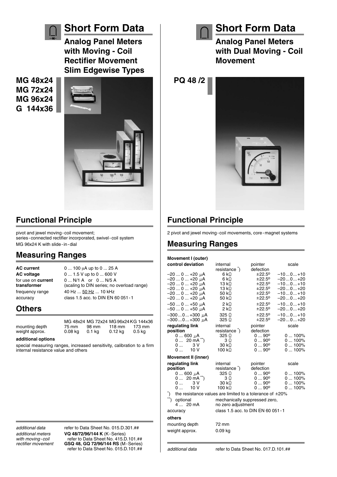

### **Functional Principle**

pivot and jewel moving-coil movement; series-connected rectifier incorporated, swivel-coil system MG 96x24 K with slide-in-dial

### **Measuring Ranges**

**AC current** 0 ... 100 µA up to 0 ... 25 A **AC voltage** 0 ... 1.5 V up to 0 ... 600 V for use on **current** 0 ... N/1 A or 0 ... N/5 A **transformer** (scaling to DIN series; no overload range) frequency range  $40$  Hz ...  $50$  Hz ... 10 kHz accuracy class 1.5 acc. to DIN EN 60 051-1

### **Others**

weight approx.

MG 48x24 MG 72x24 MG 96x24 KG 144x36<br>75 mm 98 mm 118 mm 173 mm mounting depth 75 mm 98 mm 118 mm 173 mm<br>weight approx. 0.08 kg 0.1 kg 0.12 kg 0.5 kg

#### **additional options**

special measuring ranges, increased sensitivity, calibration to a firm internal resistance value and others

*additional data* refer to Data Sheet No. 015.D.301.## *additional meters* **VQ 48/72/96/144 K** (K-Series) *with moving-coil* refer to Data Sheet No. 415.D.101.##<br> *rectifier movement* **GSQ 48. GQ 72/96/144 RS** (M-Series) *rectifier movement* **GSQ 48, GQ 72/96/144 RS** (M-Series) refer to Data Sheet No. 015.D.101.##



## **Short Form Data**

**Analog Panel Meters with Dual Moving - Coil Movement**

**PQ 48 /2**



## **Functional Principle**

2 pivot and jewel moving-coil movements, core-magnet systems

### **Measuring Ranges**

| Movement I (outer)                                                                |                                   |               |           |  |
|-----------------------------------------------------------------------------------|-----------------------------------|---------------|-----------|--|
| control deviation                                                                 | internal                          | pointer       | scale     |  |
|                                                                                   | resistance )                      | defection     |           |  |
| –20 … 0 … +20 µA                                                                  | 6 k $\Omega$                      | ±22.5°        | $-100+10$ |  |
| –20  0  +20 µA                                                                    | 6 k $\Omega$                      | ±22.5°        | -200+20   |  |
| –20  0  +20 µA                                                                    | 13 k $\Omega$                     | ±22.5°        | $-100+10$ |  |
| –20 … 0 … +20 µA                                                                  | 13 k $\Omega$                     | ±22.5°        | -200+20   |  |
| –20 … 0 … +20 µA                                                                  | 50 k $\Omega$                     | ±22.5°        | $-100+10$ |  |
| –20 … 0 … +20 µA                                                                  | 50 k $\Omega$                     | ±22.5°        | $-200+20$ |  |
| –50 … 0 … +50 µA                                                                  | 2 k                               | ±22.5°        | $-100+10$ |  |
| –50 … 0 … +50 µA                                                                  | 2 k $\Omega$                      | ±22.5°        | $-200+20$ |  |
| $-3000+300$ $\mu$ A                                                               | 325 $\Omega$                      | ±22.5°        | $-100+10$ |  |
| –300 … 0 … +300 µA                                                                | 325 $\Omega$                      | ±22.5°        | $-200+20$ |  |
| regulating link                                                                   | internal                          | pointer       | scale     |  |
| position                                                                          | resistance <sup>2</sup> )         | defection     |           |  |
| $0600 \mu A$                                                                      | 325 Q                             | $090^{\circ}$ | $0100\%$  |  |
| $20 \text{ mA}$<br>0                                                              | 3Ω                                | $090^{\circ}$ | $0100\%$  |  |
| 3 V<br>0                                                                          | 30 k $\Omega$                     | $090^{\circ}$ | $0100\%$  |  |
| 10V<br>0                                                                          | 100 k $\Omega$                    | $090^{\circ}$ | $0100\%$  |  |
| <b>Movement II (inner)</b>                                                        |                                   |               |           |  |
| regulating link                                                                   | internal                          | pointer       | scale     |  |
| position                                                                          | resistance )                      | defection     |           |  |
| 0  600 µA                                                                         | 325 $\Omega$                      | $090^{\circ}$ | $0100\%$  |  |
| $20 \text{ mA}^{**}$ )<br>0                                                       | $3\Omega$                         | $090^{\circ}$ | $0100\%$  |  |
| 3 V<br>0                                                                          | 30 k $\Omega$                     | $090^{\circ}$ | $0100\%$  |  |
| 10V<br>0                                                                          | 100 k $\Omega$                    | $090^{\circ}$ | $0100\%$  |  |
| $\mathcal{L}^*$<br>the resistance values are limited to a tolerance of $\pm 20\%$ |                                   |               |           |  |
| $\overbrace{ }^{**}$<br>optional                                                  | mechanically suppressed zero,     |               |           |  |
| 4  20 mA                                                                          | no zero adjustment                |               |           |  |
| accuracy                                                                          | class 1.5 acc. to DIN EN 60 051-1 |               |           |  |
| others                                                                            |                                   |               |           |  |
| mounting depth                                                                    | 72 mm                             |               |           |  |
| weight approx.                                                                    | 0.09 ka                           |               |           |  |
|                                                                                   |                                   |               |           |  |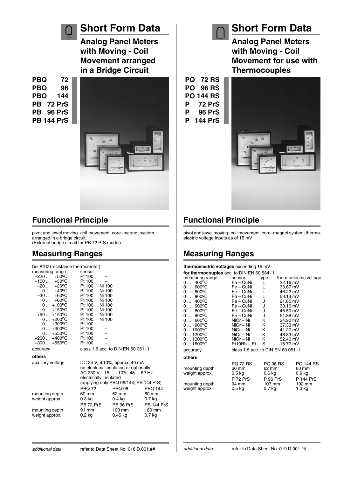

### **Short Form Data**

**Analog Panel Meters with Moving - Coil Movement arranged in a Bridge Circuit**

**PBQ 72 PBQ 96 PBQ 144 PB 72 PrS PB 96 PrS PB 144 PrS**



### **Functional Principle**

pivot and jewel moving-coil movement, core-magnet system, arranged in a bridge circuit. (External bridge circuit for PB 72 PrS model).

### **Measuring Ranges**

| for RTD (resistance thermometer)     |                                     |                                        |                   |  |
|--------------------------------------|-------------------------------------|----------------------------------------|-------------------|--|
| measuring range                      | sensor                              |                                        |                   |  |
| $-220 +50$ °C                        | Pt 100                              |                                        |                   |  |
| $-100 +50$ °C                        | Pt 100                              |                                        |                   |  |
| $-20 +20^{\circ}C$                   | Ni 100<br>Pt 100.                   |                                        |                   |  |
| $0  +40°C$<br>-30  +60°C             | Pt 100,<br>Ni 100                   |                                        |                   |  |
|                                      | Pt 100, Ni 100                      |                                        |                   |  |
| $0 +60^{\circ}C$<br>$0+100^{\circ}C$ | Pt 100.<br>Ni 100<br>Pt 100, Ni 100 |                                        |                   |  |
| $0+150^{\circ}C$                     | Pt 100, Ni 100                      |                                        |                   |  |
| $+50 +150^{\circ}C$                  | Pt 100, Ni 100                      |                                        |                   |  |
| $0 + 200$ <sup>o</sup> C             | Pt 100, Ni 100                      |                                        |                   |  |
| $0+300^{\circ}C$                     | Pt 100                              |                                        |                   |  |
| $0+400^{\circ}C$                     | Pt 100                              |                                        |                   |  |
| $0+550^{\circ}C$                     | Pt 100                              |                                        |                   |  |
| $+200+400$ °C                        | Pt 100                              |                                        |                   |  |
| $+300+550$ °C                        | Pt 100                              |                                        |                   |  |
| accuracy                             |                                     | class 1.5 acc. to DIN EN 60 051 - 1    |                   |  |
| others                               |                                     |                                        |                   |  |
| auxiliary voltage                    |                                     | DC 24 V, $\pm$ 10%, approx. 40 mA      |                   |  |
|                                      |                                     | no electrical insulation or optionally |                   |  |
|                                      |                                     | AC 230 V, -15  +10%, 48  62 Hz         |                   |  |
|                                      | electrically insulated              |                                        |                   |  |
|                                      |                                     | (applying only PBQ 96/144, PB 144 PrS) |                   |  |
|                                      | <b>PBO 72</b>                       | <b>PBQ 96</b>                          | <b>PBO 144</b>    |  |
| mounting depth                       | 60 mm                               | 62 mm                                  | 60 mm             |  |
| weight approx.                       | 0.3 kg                              | 0.4 kg                                 | $0.7$ kg          |  |
|                                      | PB 72 PrS                           | PB 96 PrS                              | <b>PB 144 PrS</b> |  |
| mounting depth                       | 91 mm                               | 100 mm                                 | 180 mm            |  |
| weight approx.                       | $0.2$ kg                            | 0.45 kg                                | 0.7 kg            |  |
|                                      |                                     |                                        |                   |  |

**PQ 72 RS PQ 96 RS PQ 144 RS P 72 PrS P 96 PrS P 144 PrS**



**Short Form Data**

**Analog Panel Meters with Moving - Coil**

**Movement for use with**

# **Functional Principle**

pivot and jewel moving-coil movement, core-magnet system; thermoelectric voltage inputs as of 15 mV

### **Measuring Ranges**

#### **thermoelectric voltages** exceeding 15 mV

| for thermocouples acc. to DIN EN 60 584 - 1 |                                     |                  |          |                        |
|---------------------------------------------|-------------------------------------|------------------|----------|------------------------|
| measuring range                             | sensor                              | type             |          | thermoelectric voltage |
| $400^{\circ}$ C<br>0                        | Fe – CuNi                           |                  | 22.16 mV |                        |
| $600^{\circ}$ C<br>0                        | Fe – CuNi                           |                  | 33.67 mV |                        |
| $800^{\circ}$ C<br>0                        | Fe – CuNi                           | L                | 46.22 mV |                        |
| 900°C<br>0                                  | $Fe - C u$ Ni                       |                  | 53.14 mV |                        |
| 400°C<br>0                                  | Fe – CuNi                           | J                | 21.85 mV |                        |
| 600°C<br>0                                  | $Fe - C u$ Ni                       | J                | 33.10 mV |                        |
| 800°C<br>0                                  | Fe – CuNi                           | J                | 45.50 mV |                        |
| $900^{\circ}$ C<br>0                        | $Fe - C u$ Ni                       | J                | 51.88 mV |                        |
| $600^{\circ}$ C<br>0                        | NiCr – Ni                           | Κ                | 24.90 mV |                        |
| $900^{\circ}$ C<br>0                        | NiCr – Ni                           | Κ                | 37.33 mV |                        |
| $01000^{\circ}C$                            | NiCr – Ni                           | K.               | 41.27 mV |                        |
| $01200$ <sup>o</sup> C                      | NiCr - Ni                           | Κ                | 48.83 mV |                        |
| $01300^{\circ}C$                            | NiCr - Ni                           | Κ                | 52.40 mV |                        |
| $01600^{\circ}$ C                           | $Pt10Rh - Pt$                       | S                | 16.77 mV |                        |
| accuracy                                    | class 1.5 acc. to DIN EN 60 051 - 1 |                  |          |                        |
| others                                      |                                     |                  |          |                        |
|                                             | <b>PQ 72 RS</b>                     | <b>PQ 96 RS</b>  |          | PQ 144 RS              |
| mounting depth                              | 60 mm                               | 62 mm            |          | 60 mm                  |
| weight approx.                              | $0.5$ kg                            | $0.6$ kg         |          | $0.9$ kg               |
|                                             | <b>P 72 PrS</b>                     | <b>P 96 PrS</b>  |          | P 144 PrS              |
| mounting depth                              | 94 mm                               | $107 \text{ mm}$ |          | 192 mm                 |
| weight approx.                              | $0.5$ kg                            | $0.7$ kg         |          | $1.3 \text{ kg}$       |
|                                             |                                     |                  |          |                        |